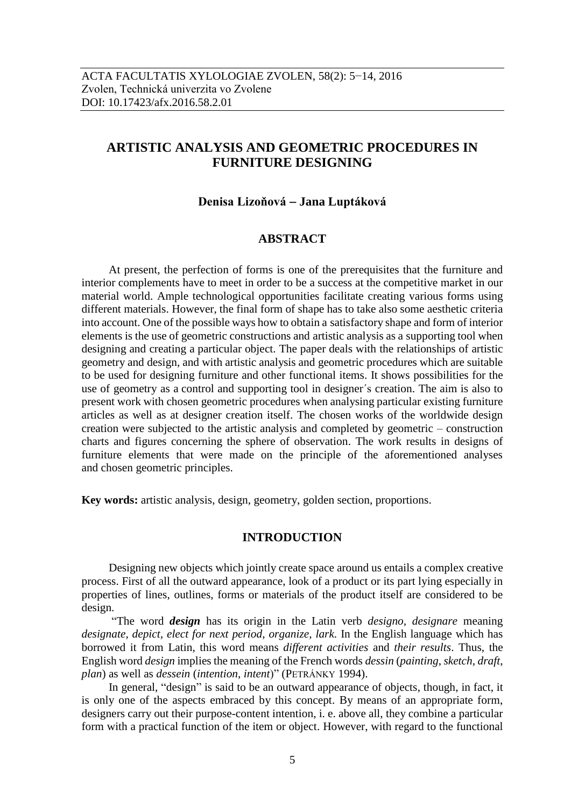# **ARTISTIC ANALYSIS AND GEOMETRIC PROCEDURES IN FURNITURE DESIGNING**

## **Denisa Lizoňová Jana Luptáková**

## **ABSTRACT**

At present, the perfection of forms is one of the prerequisites that the furniture and interior complements have to meet in order to be a success at the competitive market in our material world. Ample technological opportunities facilitate creating various forms using different materials. However, the final form of shape has to take also some aesthetic criteria into account. One of the possible ways how to obtain a satisfactory shape and form of interior elements is the use of geometric constructions and artistic analysis as a supporting tool when designing and creating a particular object. The paper deals with the relationships of artistic geometry and design, and with artistic analysis and geometric procedures which are suitable to be used for designing furniture and other functional items. It shows possibilities for the use of geometry as a control and supporting tool in designer´s creation. The aim is also to present work with chosen geometric procedures when analysing particular existing furniture articles as well as at designer creation itself. The chosen works of the worldwide design creation were subjected to the artistic analysis and completed by geometric – construction charts and figures concerning the sphere of observation. The work results in designs of furniture elements that were made on the principle of the aforementioned analyses and chosen geometric principles.

**Key words:** artistic analysis, design, geometry, golden section, proportions.

### **INTRODUCTION**

Designing new objects which jointly create space around us entails a complex creative process. First of all the outward appearance, look of a product or its part lying especially in properties of lines, outlines, forms or materials of the product itself are considered to be design.

"The word *design* has its origin in the Latin verb *designo, designare* meaning *designate*, *depict, elect for next period*, *organize, lark*. In the English language which has borrowed it from Latin, this word means *different activities* and *their results*. Thus, the English word *design* implies the meaning of the French words *dessin* (*painting*, *sketch, draft*, *plan*) as well as *dessein* (*intention*, *intent*)" (PETRÁNKY 1994).

In general, "design" is said to be an outward appearance of objects, though, in fact, it is only one of the aspects embraced by this concept. By means of an appropriate form, designers carry out their purpose-content intention, i. e. above all, they combine a particular form with a practical function of the item or object. However, with regard to the functional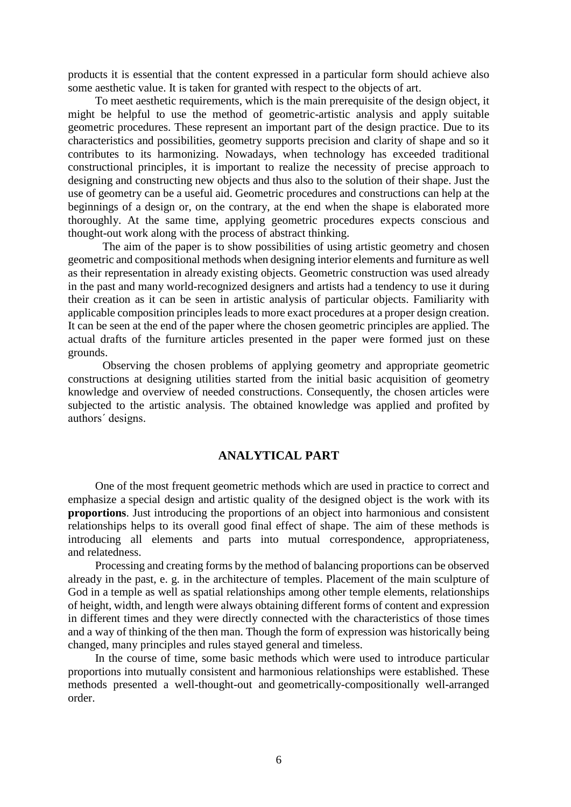products it is essential that the content expressed in a particular form should achieve also some aesthetic value. It is taken for granted with respect to the objects of art.

To meet aesthetic requirements, which is the main prerequisite of the design object, it might be helpful to use the method of geometric-artistic analysis and apply suitable geometric procedures. These represent an important part of the design practice. Due to its characteristics and possibilities, geometry supports precision and clarity of shape and so it contributes to its harmonizing. Nowadays, when technology has exceeded traditional constructional principles, it is important to realize the necessity of precise approach to designing and constructing new objects and thus also to the solution of their shape. Just the use of geometry can be a useful aid. Geometric procedures and constructions can help at the beginnings of a design or, on the contrary, at the end when the shape is elaborated more thoroughly. At the same time, applying geometric procedures expects conscious and thought-out work along with the process of abstract thinking.

The aim of the paper is to show possibilities of using artistic geometry and chosen geometric and compositional methods when designing interior elements and furniture as well as their representation in already existing objects. Geometric construction was used already in the past and many world-recognized designers and artists had a tendency to use it during their creation as it can be seen in artistic analysis of particular objects. Familiarity with applicable composition principles leads to more exact procedures at a proper design creation. It can be seen at the end of the paper where the chosen geometric principles are applied. The actual drafts of the furniture articles presented in the paper were formed just on these grounds.

Observing the chosen problems of applying geometry and appropriate geometric constructions at designing utilities started from the initial basic acquisition of geometry knowledge and overview of needed constructions. Consequently, the chosen articles were subjected to the artistic analysis. The obtained knowledge was applied and profited by authors´ designs.

### **ANALYTICAL PART**

One of the most frequent geometric methods which are used in practice to correct and emphasize a special design and artistic quality of the designed object is the work with its **proportions**. Just introducing the proportions of an object into harmonious and consistent relationships helps to its overall good final effect of shape. The aim of these methods is introducing all elements and parts into mutual correspondence, appropriateness, and relatedness.

Processing and creating forms by the method of balancing proportions can be observed already in the past, e. g. in the architecture of temples. Placement of the main sculpture of God in a temple as well as spatial relationships among other temple elements, relationships of height, width, and length were always obtaining different forms of content and expression in different times and they were directly connected with the characteristics of those times and a way of thinking of the then man. Though the form of expression was historically being changed, many principles and rules stayed general and timeless.

In the course of time, some basic methods which were used to introduce particular proportions into mutually consistent and harmonious relationships were established. These methods presented a well-thought-out and geometrically-compositionally well-arranged order.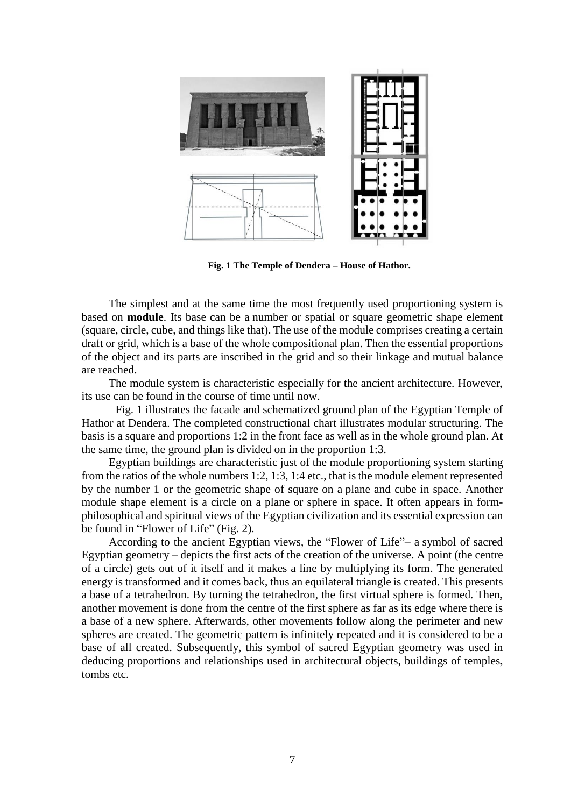

**Fig. 1 The Temple of Dendera – House of Hathor.**

The simplest and at the same time the most frequently used proportioning system is based on **module**. Its base can be a number or spatial or square geometric shape element (square, circle, cube, and things like that). The use of the module comprises creating a certain draft or grid, which is a base of the whole compositional plan. Then the essential proportions of the object and its parts are inscribed in the grid and so their linkage and mutual balance are reached.

The module system is characteristic especially for the ancient architecture. However, its use can be found in the course of time until now.

Fig. 1 illustrates the facade and schematized ground plan of the Egyptian Temple of Hathor at Dendera. The completed constructional chart illustrates modular structuring. The basis is a square and proportions 1:2 in the front face as well as in the whole ground plan. At the same time, the ground plan is divided on in the proportion 1:3.

Egyptian buildings are characteristic just of the module proportioning system starting from the ratios of the whole numbers 1:2, 1:3, 1:4 etc., that is the module element represented by the number 1 or the geometric shape of square on a plane and cube in space. Another module shape element is a circle on a plane or sphere in space. It often appears in formphilosophical and spiritual views of the Egyptian civilization and its essential expression can be found in "Flower of Life" (Fig. 2).

According to the ancient Egyptian views, the "Flower of Life"– a symbol of sacred Egyptian geometry – depicts the first acts of the creation of the universe. A point (the centre of a circle) gets out of it itself and it makes a line by multiplying its form. The generated energy is transformed and it comes back, thus an equilateral triangle is created. This presents a base of a tetrahedron. By turning the tetrahedron, the first virtual sphere is formed. Then, another movement is done from the centre of the first sphere as far as its edge where there is a base of a new sphere. Afterwards, other movements follow along the perimeter and new spheres are created. The geometric pattern is infinitely repeated and it is considered to be a base of all created. Subsequently, this symbol of sacred Egyptian geometry was used in deducing proportions and relationships used in architectural objects, buildings of temples, tombs etc.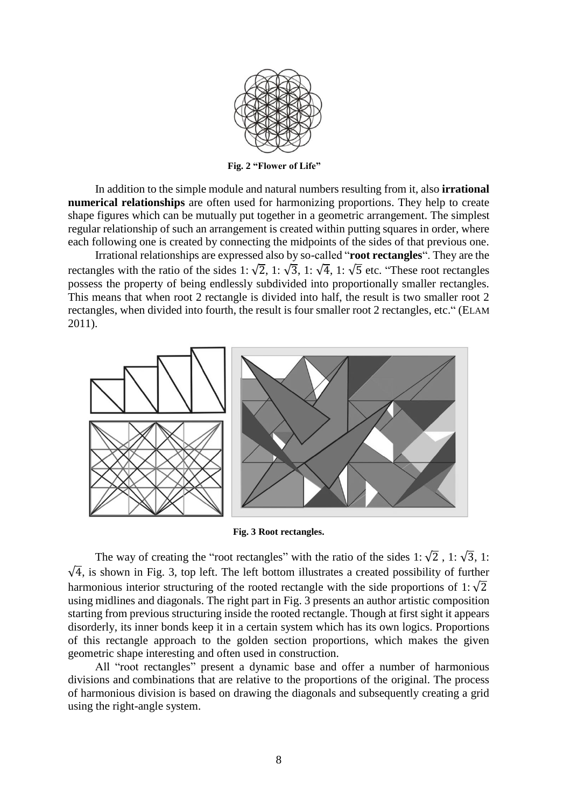

**Fig. 2 "Flower of Life"**

In addition to the simple module and natural numbers resulting from it, also **irrational numerical relationships** are often used for harmonizing proportions. They help to create shape figures which can be mutually put together in a geometric arrangement. The simplest regular relationship of such an arrangement is created within putting squares in order, where each following one is created by connecting the midpoints of the sides of that previous one.

Irrational relationships are expressed also by so-called "**root rectangles**". They are the rectangles with the ratio of the sides 1:  $\sqrt{2}$ , 1:  $\sqrt{3}$ , 1:  $\sqrt{4}$ , 1:  $\sqrt{5}$  etc. "These root rectangles possess the property of being endlessly subdivided into proportionally smaller rectangles. This means that when root 2 rectangle is divided into half, the result is two smaller root 2 rectangles, when divided into fourth, the result is four smaller root 2 rectangles, etc." (ELAM 2011).



**Fig. 3 Root rectangles.**

The way of creating the "root rectangles" with the ratio of the sides 1:  $\sqrt{2}$ , 1:  $\sqrt{3}$ , 1:  $\sqrt{4}$ , is shown in Fig. 3, top left. The left bottom illustrates a created possibility of further harmonious interior structuring of the rooted rectangle with the side proportions of 1:  $\sqrt{2}$ using midlines and diagonals. The right part in Fig. 3 presents an author artistic composition starting from previous structuring inside the rooted rectangle. Though at first sight it appears disorderly, its inner bonds keep it in a certain system which has its own logics. Proportions of this rectangle approach to the golden section proportions, which makes the given geometric shape interesting and often used in construction.

All "root rectangles" present a dynamic base and offer a number of harmonious divisions and combinations that are relative to the proportions of the original. The process of harmonious division is based on drawing the diagonals and subsequently creating a grid using the right-angle system.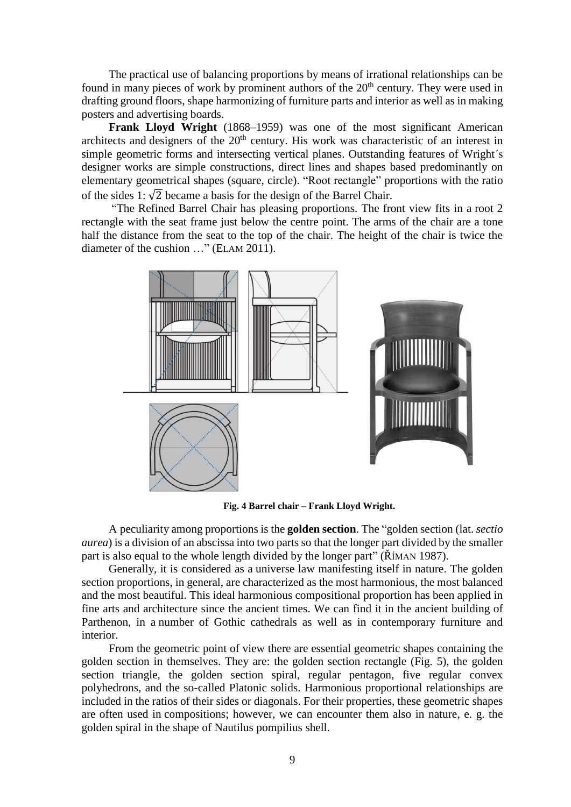The practical use of balancing proportions by means of irrational relationships can be found in many pieces of work by prominent authors of the  $20<sup>th</sup>$  century. They were used in drafting ground floors, shape harmonizing of furniture parts and interior as well as in making posters and advertising boards.

**Frank Lloyd Wright** (1868–1959) was one of the most significant American [architects a](http://sk.wikipedia.org/wiki/Architekt)nd designers of the  $20<sup>th</sup>$  century. His work was characteristic of an interest in simple geometric forms and intersecting vertical planes. Outstanding features of Wright´s designer works are simple constructions, direct lines and shapes based predominantly on elementary geometrical shapes (square, circle). "Root rectangle" proportions with the ratio of the sides 1:  $\sqrt{2}$  became a basis for the design of the Barrel Chair.

"The Refined Barrel Chair has pleasing proportions. The front view fits in a root 2 rectangle with the seat frame just below the centre point. The arms of the chair are a tone half the distance from the seat to the top of the chair. The height of the chair is twice the diameter of the cushion …" (ELAM 2011).



**Fig. 4 Barrel chair – Frank Lloyd Wright.**

A peculiarity among proportions is the **golden section**. The "golden section (lat. *sectio aurea*) is a division of an abscissa into two parts so that the longer part divided by the smaller part is also equal to the whole length divided by the longer part" (ŘÍMAN 1987).

Generally, it is considered as a universe law manifesting itself in nature. The golden section proportions, in general, are characterized as the most harmonious, the most balanced and the most beautiful. This ideal harmonious compositional proportion has been applied in fine arts and architecture since the ancient times. We can find it in the ancient building of Parthenon, in a number of Gothic cathedrals as well as in contemporary furniture and interior.

From the geometric point of view there are essential geometric shapes containing the golden section in themselves. They are: the golden section rectangle (Fig. 5), the golden section triangle, the golden section spiral, regular pentagon, five regular [convex](https://sk.wikipedia.org/wiki/Konvexn%C3%A1_mno%C5%BEina) polyhedrons, and the so-called [Platonic solids.](https://sk.wikipedia.org/wiki/Plat%C3%B3nske_teleso) Harmonious proportional relationships are included in the ratios of their sides or diagonals. For their properties, these geometric shapes are often used in compositions; however, we can encounter them also in nature, e. g. the golden spiral in the shape of Nautilus pompilius shell.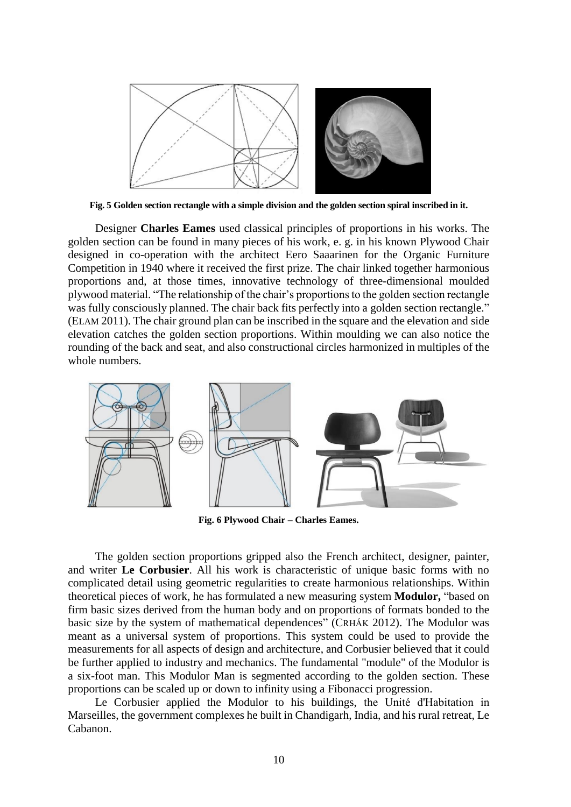

**Fig. 5 Golden section rectangle with a simple division and the golden section spiral inscribed in it.**

Designer **Charles Eames** used classical principles of proportions in his works. The golden section can be found in many pieces of his work, e. g. in his known Plywood Chair designed in co-operation with the architect Eero Saaarinen for the Organic Furniture Competition in 1940 where it received the first prize. The chair linked together harmonious proportions and, at those times, innovative technology of three-dimensional moulded plywood material. "The relationship of the chair's proportions to the golden section rectangle was fully consciously planned. The chair back fits perfectly into a golden section rectangle." (ELAM 2011). The chair ground plan can be inscribed in the square and the elevation and side elevation catches the golden section proportions. Within moulding we can also notice the rounding of the back and seat, and also constructional circles harmonized in multiples of the whole numbers.



**Fig. 6 Plywood Chair – Charles Eames.**

The golden section proportions gripped also the French architect, designer, painter, and writer **Le Corbusier**. All his work is characteristic of unique basic forms with no complicated detail using geometric regularities to create harmonious relationships. Within theoretical pieces of work, he has formulated a new measuring system **Modulor,** "based on firm basic sizes derived from the human body and on proportions of formats bonded to the basic size by the system of mathematical dependences" (CRHÁK 2012). The Modulor was meant as a universal system of proportions. This system could be used to provide the measurements for all aspects of design and architecture, and Corbusier believed that it could be further applied to industry and mechanics. The fundamental "module" of the Modulor is a six-foot man. This Modulor Man is segmented according to the golden section. These proportions can be scaled up or down to infinity using a Fibonacci progression.

Le Corbusier applied the Modulor to his buildings, the Unité d'Habitation in Marseilles, the government complexes he built in Chandigarh, India, and his rural retreat, Le Cabanon.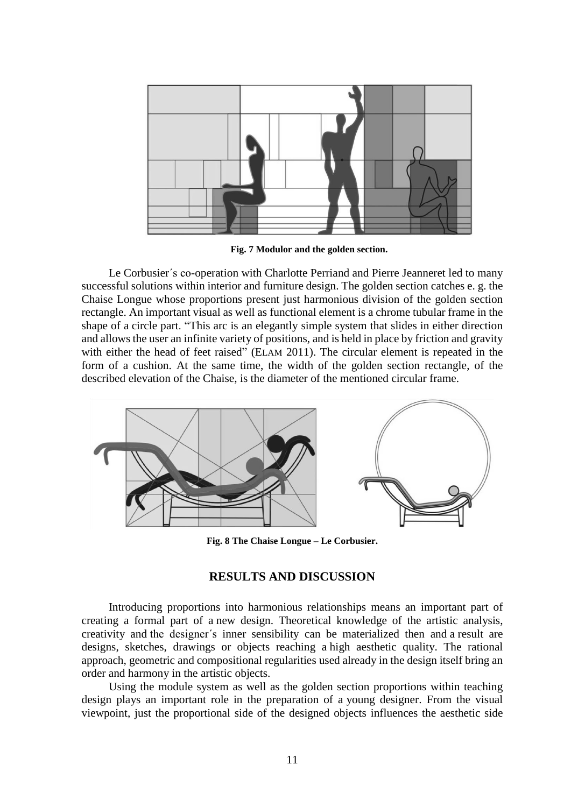

**Fig. 7 Modulor and the golden section.**

Le Corbusier´s co-operation with Charlotte Perriand and Pierre Jeanneret led to many successful solutions within interior and furniture design. The golden section catches e. g. the Chaise Longue whose proportions present just harmonious division of the golden section rectangle. An important visual as well as functional element is a chrome tubular frame in the shape of a circle part. "This arc is an elegantly simple system that slides in either direction and allows the user an infinite variety of positions, and is held in place by friction and gravity with either the head of feet raised" (ELAM 2011). The circular element is repeated in the form of a cushion. At the same time, the width of the golden section rectangle, of the described elevation of the Chaise, is the diameter of the mentioned circular frame.



**Fig. 8 The Chaise Longue – Le Corbusier.**

## **RESULTS AND DISCUSSION**

Introducing proportions into harmonious relationships means an important part of creating a formal part of a new design. Theoretical knowledge of the artistic analysis, creativity and the designer´s inner sensibility can be materialized then and a result are designs, sketches, drawings or objects reaching a high aesthetic quality. The rational approach, geometric and compositional regularities used already in the design itself bring an order and harmony in the artistic objects.

Using the module system as well as the golden section proportions within teaching design plays an important role in the preparation of a young designer. From the visual viewpoint, just the proportional side of the designed objects influences the aesthetic side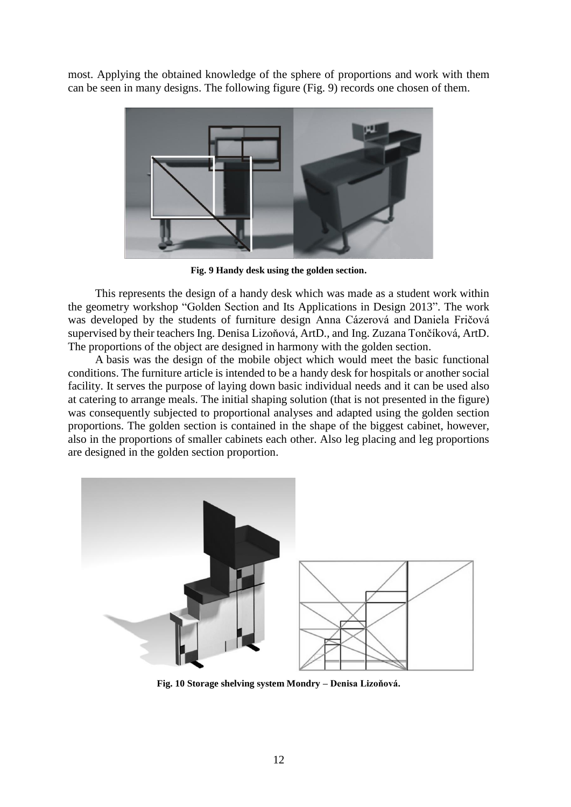most. Applying the obtained knowledge of the sphere of proportions and work with them can be seen in many designs. The following figure (Fig. 9) records one chosen of them.



**Fig. 9 Handy desk using the golden section.**

This represents the design of a handy desk which was made as a student work within the geometry workshop "Golden Section and Its Applications in Design 2013". The work was developed by the students of furniture design Anna Cázerová and Daniela Fričová supervised by their teachers Ing. Denisa Lizoňová, ArtD., and Ing. Zuzana Tončíková, ArtD. The proportions of the object are designed in harmony with the golden section.

A basis was the design of the mobile object which would meet the basic functional conditions. The furniture article is intended to be a handy desk for hospitals or another social facility. It serves the purpose of laying down basic individual needs and it can be used also at catering to arrange meals. The initial shaping solution (that is not presented in the figure) was consequently subjected to proportional analyses and adapted using the golden section proportions. The golden section is contained in the shape of the biggest cabinet, however, also in the proportions of smaller cabinets each other. Also leg placing and leg proportions are designed in the golden section proportion.



**Fig. 10 Storage shelving system Mondry – Denisa Lizoňová.**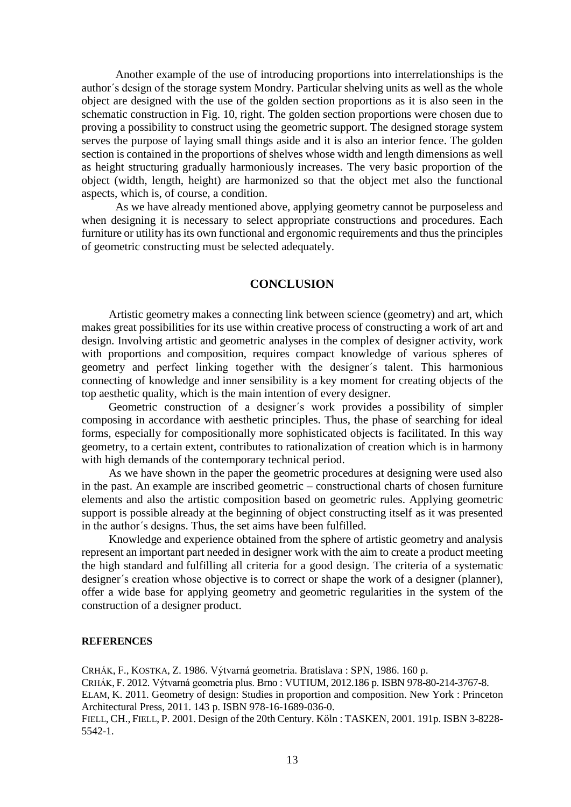Another example of the use of introducing proportions into interrelationships is the author´s design of the storage system Mondry. Particular shelving units as well as the whole object are designed with the use of the golden section proportions as it is also seen in the schematic construction in Fig. 10, right. The golden section proportions were chosen due to proving a possibility to construct using the geometric support. The designed storage system serves the purpose of laying small things aside and it is also an interior fence. The golden section is contained in the proportions of shelves whose width and length dimensions as well as height structuring gradually harmoniously increases. The very basic proportion of the object (width, length, height) are harmonized so that the object met also the functional aspects, which is, of course, a condition.

As we have already mentioned above, applying geometry cannot be purposeless and when designing it is necessary to select appropriate constructions and procedures. Each furniture or utility has its own functional and ergonomic requirements and thus the principles of geometric constructing must be selected adequately.

#### **CONCLUSION**

Artistic geometry makes a connecting link between science (geometry) and art, which makes great possibilities for its use within creative process of constructing a work of art and design. Involving artistic and geometric analyses in the complex of designer activity, work with proportions and composition, requires compact knowledge of various spheres of geometry and perfect linking together with the designer´s talent. This harmonious connecting of knowledge and inner sensibility is a key moment for creating objects of the top aesthetic quality, which is the main intention of every designer.

Geometric construction of a designer´s work provides a possibility of simpler composing in accordance with aesthetic principles. Thus, the phase of searching for ideal forms, especially for compositionally more sophisticated objects is facilitated. In this way geometry, to a certain extent, contributes to rationalization of creation which is in harmony with high demands of the contemporary technical period.

As we have shown in the paper the geometric procedures at designing were used also in the past. An example are inscribed geometric – constructional charts of chosen furniture elements and also the artistic composition based on geometric rules. Applying geometric support is possible already at the beginning of object constructing itself as it was presented in the author´s designs. Thus, the set aims have been fulfilled.

Knowledge and experience obtained from the sphere of artistic geometry and analysis represent an important part needed in designer work with the aim to create a product meeting the high standard and fulfilling all criteria for a good design. The criteria of a systematic designer´s creation whose objective is to correct or shape the work of a designer (planner), offer a wide base for applying geometry and geometric regularities in the system of the construction of a designer product.

#### **REFERENCES**

CRHÁK, F., KOSTKA, Z. 1986. Výtvarná geometria. Bratislava : SPN, 1986. 160 p. CRHÁK, F. 2012. Výtvarná geometria plus. Brno : VUTIUM, 2012.186 p. ISBN 978-80-214-3767-8. ELAM, K. 2011. Geometry of design: Studies in proportion and composition. New York : Princeton Architectural Press, 2011. 143 p. ISBN 978-16-1689-036-0. FIELL, CH., FIELL, P. 2001. Design of the 20th Century. Köln : TASKEN, 2001. 191p. ISBN 3-8228- 5542-1.